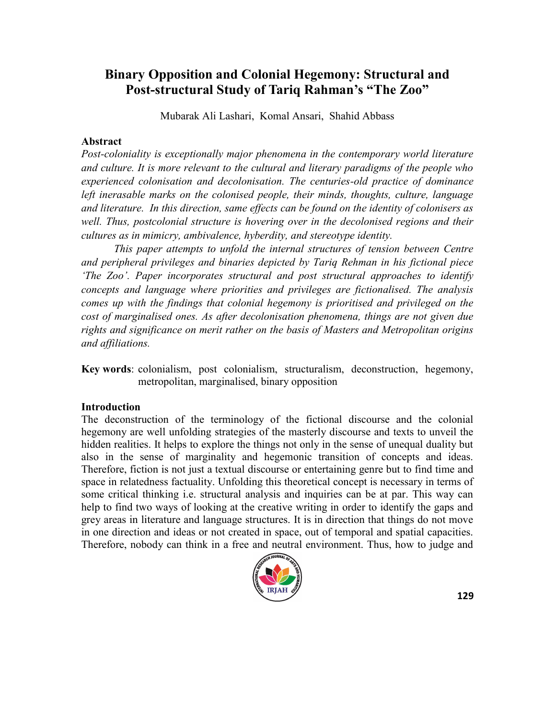# **Binary Opposition and Colonial Hegemony: Structural and Post-structural Study of Tariq Rahman's "The Zoo"**

Mubarak Ali Lashari, Komal Ansari, Shahid Abbass

#### **Abstract**

*Post-coloniality is exceptionally major phenomena in the contemporary world literature and culture. It is more relevant to the cultural and literary paradigms of the people who experienced colonisation and decolonisation. The centuries-old practice of dominance left inerasable marks on the colonised people, their minds, thoughts, culture, language and literature. In this direction, same effects can be found on the identity of colonisers as well. Thus, postcolonial structure is hovering over in the decolonised regions and their cultures as in mimicry, ambivalence, hyberdity, and stereotype identity.*

*This paper attempts to unfold the internal structures of tension between Centre and peripheral privileges and binaries depicted by Tariq Rehman in his fictional piece ‗The Zoo'. Paper incorporates structural and post structural approaches to identify concepts and language where priorities and privileges are fictionalised. The analysis comes up with the findings that colonial hegemony is prioritised and privileged on the cost of marginalised ones. As after decolonisation phenomena, things are not given due rights and significance on merit rather on the basis of Masters and Metropolitan origins and affiliations.*

**Key words**: colonialism, post colonialism, structuralism, deconstruction, hegemony, metropolitan, marginalised, binary opposition

## **Introduction**

The deconstruction of the terminology of the fictional discourse and the colonial hegemony are well unfolding strategies of the masterly discourse and texts to unveil the hidden realities. It helps to explore the things not only in the sense of unequal duality but also in the sense of marginality and hegemonic transition of concepts and ideas. Therefore, fiction is not just a textual discourse or entertaining genre but to find time and space in relatedness factuality. Unfolding this theoretical concept is necessary in terms of some critical thinking i.e. structural analysis and inquiries can be at par. This way can help to find two ways of looking at the creative writing in order to identify the gaps and grey areas in literature and language structures. It is in direction that things do not move in one direction and ideas or not created in space, out of temporal and spatial capacities. Therefore, nobody can think in a free and neutral environment. Thus, how to judge and

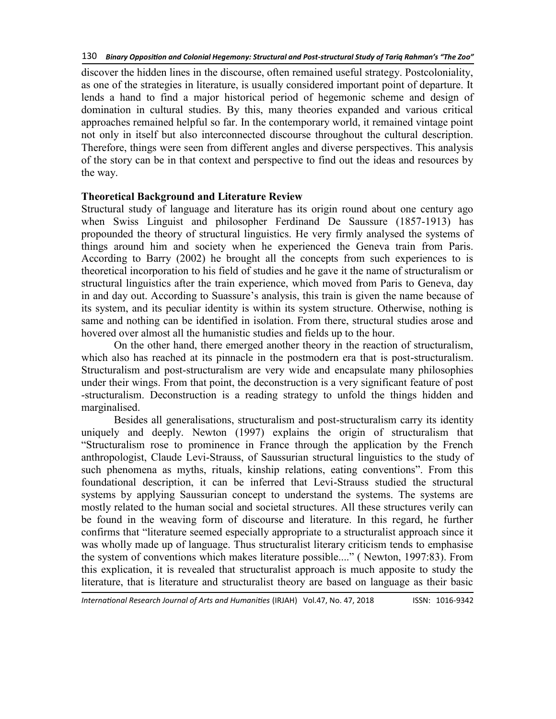discover the hidden lines in the discourse, often remained useful strategy. Postcoloniality, as one of the strategies in literature, is usually considered important point of departure. It lends a hand to find a major historical period of hegemonic scheme and design of domination in cultural studies. By this, many theories expanded and various critical approaches remained helpful so far. In the contemporary world, it remained vintage point not only in itself but also interconnected discourse throughout the cultural description. Therefore, things were seen from different angles and diverse perspectives. This analysis of the story can be in that context and perspective to find out the ideas and resources by the way.

# **Theoretical Background and Literature Review**

Structural study of language and literature has its origin round about one century ago when Swiss Linguist and philosopher Ferdinand De Saussure (1857-1913) has propounded the theory of structural linguistics. He very firmly analysed the systems of things around him and society when he experienced the Geneva train from Paris. According to Barry (2002) he brought all the concepts from such experiences to is theoretical incorporation to his field of studies and he gave it the name of structuralism or structural linguistics after the train experience, which moved from Paris to Geneva, day in and day out. According to Suassure's analysis, this train is given the name because of its system, and its peculiar identity is within its system structure. Otherwise, nothing is same and nothing can be identified in isolation. From there, structural studies arose and hovered over almost all the humanistic studies and fields up to the hour.

On the other hand, there emerged another theory in the reaction of structuralism, which also has reached at its pinnacle in the postmodern era that is post-structuralism. Structuralism and post-structuralism are very wide and encapsulate many philosophies under their wings. From that point, the deconstruction is a very significant feature of post -structuralism. Deconstruction is a reading strategy to unfold the things hidden and marginalised.

Besides all generalisations, structuralism and post-structuralism carry its identity uniquely and deeply. Newton (1997) explains the origin of structuralism that ―Structuralism rose to prominence in France through the application by the French anthropologist, Claude Levi-Strauss, of Saussurian structural linguistics to the study of such phenomena as myths, rituals, kinship relations, eating conventions". From this foundational description, it can be inferred that Levi-Strauss studied the structural systems by applying Saussurian concept to understand the systems. The systems are mostly related to the human social and societal structures. All these structures verily can be found in the weaving form of discourse and literature. In this regard, he further confirms that "literature seemed especially appropriate to a structuralist approach since it was wholly made up of language. Thus structuralist literary criticism tends to emphasise the system of conventions which makes literature possible...." (Newton, 1997:83). From this explication, it is revealed that structuralist approach is much apposite to study the literature, that is literature and structuralist theory are based on language as their basic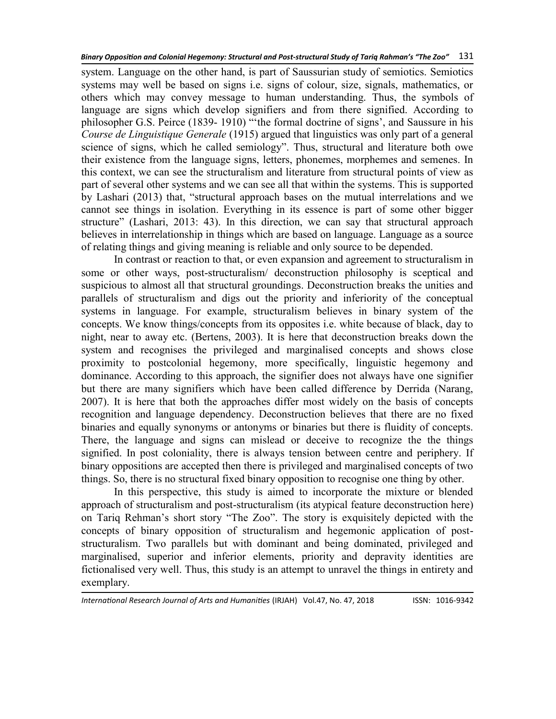system. Language on the other hand, is part of Saussurian study of semiotics. Semiotics systems may well be based on signs i.e. signs of colour, size, signals, mathematics, or others which may convey message to human understanding. Thus, the symbols of language are signs which develop signifiers and from there signified. According to philosopher G.S. Peirce (1839-1910) " the formal doctrine of signs', and Saussure in his *Course de Linguistique Generale* (1915) argued that linguistics was only part of a general science of signs, which he called semiology". Thus, structural and literature both owe their existence from the language signs, letters, phonemes, morphemes and semenes. In this context, we can see the structuralism and literature from structural points of view as part of several other systems and we can see all that within the systems. This is supported by Lashari (2013) that, "structural approach bases on the mutual interrelations and we cannot see things in isolation. Everything in its essence is part of some other bigger structure" (Lashari, 2013: 43). In this direction, we can say that structural approach believes in interrelationship in things which are based on language. Language as a source of relating things and giving meaning is reliable and only source to be depended.

In contrast or reaction to that, or even expansion and agreement to structuralism in some or other ways, post-structuralism/ deconstruction philosophy is sceptical and suspicious to almost all that structural groundings. Deconstruction breaks the unities and parallels of structuralism and digs out the priority and inferiority of the conceptual systems in language. For example, structuralism believes in binary system of the concepts. We know things/concepts from its opposites i.e. white because of black, day to night, near to away etc. (Bertens, 2003). It is here that deconstruction breaks down the system and recognises the privileged and marginalised concepts and shows close proximity to postcolonial hegemony, more specifically, linguistic hegemony and dominance. According to this approach, the signifier does not always have one signifier but there are many signifiers which have been called difference by Derrida (Narang, 2007). It is here that both the approaches differ most widely on the basis of concepts recognition and language dependency. Deconstruction believes that there are no fixed binaries and equally synonyms or antonyms or binaries but there is fluidity of concepts. There, the language and signs can mislead or deceive to recognize the the things signified. In post coloniality, there is always tension between centre and periphery. If binary oppositions are accepted then there is privileged and marginalised concepts of two things. So, there is no structural fixed binary opposition to recognise one thing by other.

In this perspective, this study is aimed to incorporate the mixture or blended approach of structuralism and post-structuralism (its atypical feature deconstruction here) on Tariq Rehman's short story "The Zoo". The story is exquisitely depicted with the concepts of binary opposition of structuralism and hegemonic application of poststructuralism. Two parallels but with dominant and being dominated, privileged and marginalised, superior and inferior elements, priority and depravity identities are fictionalised very well. Thus, this study is an attempt to unravel the things in entirety and exemplary.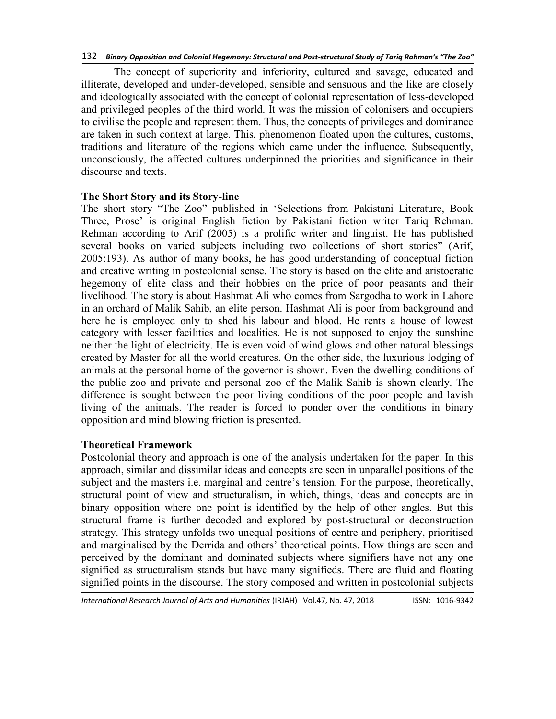The concept of superiority and inferiority, cultured and savage, educated and illiterate, developed and under-developed, sensible and sensuous and the like are closely and ideologically associated with the concept of colonial representation of less-developed and privileged peoples of the third world. It was the mission of colonisers and occupiers to civilise the people and represent them. Thus, the concepts of privileges and dominance are taken in such context at large. This, phenomenon floated upon the cultures, customs, traditions and literature of the regions which came under the influence. Subsequently, unconsciously, the affected cultures underpinned the priorities and significance in their discourse and texts.

## **The Short Story and its Story-line**

The short story "The Zoo" published in 'Selections from Pakistani Literature, Book Three, Prose' is original English fiction by Pakistani fiction writer Tariq Rehman. Rehman according to Arif (2005) is a prolific writer and linguist. He has published several books on varied subjects including two collections of short stories" (Arif, 2005:193). As author of many books, he has good understanding of conceptual fiction and creative writing in postcolonial sense. The story is based on the elite and aristocratic hegemony of elite class and their hobbies on the price of poor peasants and their livelihood. The story is about Hashmat Ali who comes from Sargodha to work in Lahore in an orchard of Malik Sahib, an elite person. Hashmat Ali is poor from background and here he is employed only to shed his labour and blood. He rents a house of lowest category with lesser facilities and localities. He is not supposed to enjoy the sunshine neither the light of electricity. He is even void of wind glows and other natural blessings created by Master for all the world creatures. On the other side, the luxurious lodging of animals at the personal home of the governor is shown. Even the dwelling conditions of the public zoo and private and personal zoo of the Malik Sahib is shown clearly. The difference is sought between the poor living conditions of the poor people and lavish living of the animals. The reader is forced to ponder over the conditions in binary opposition and mind blowing friction is presented.

# **Theoretical Framework**

Postcolonial theory and approach is one of the analysis undertaken for the paper. In this approach, similar and dissimilar ideas and concepts are seen in unparallel positions of the subject and the masters i.e. marginal and centre's tension. For the purpose, theoretically, structural point of view and structuralism, in which, things, ideas and concepts are in binary opposition where one point is identified by the help of other angles. But this structural frame is further decoded and explored by post-structural or deconstruction strategy. This strategy unfolds two unequal positions of centre and periphery, prioritised and marginalised by the Derrida and others' theoretical points. How things are seen and perceived by the dominant and dominated subjects where signifiers have not any one signified as structuralism stands but have many signifieds. There are fluid and floating signified points in the discourse. The story composed and written in postcolonial subjects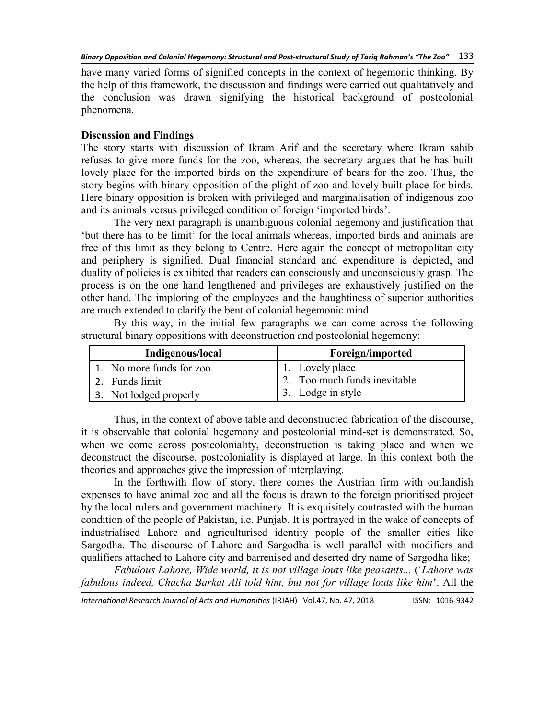have many varied forms of signified concepts in the context of hegemonic thinking. By the help of this framework, the discussion and findings were carried out qualitatively and the conclusion was drawn signifying the historical background of postcolonial phenomena.

## **Discussion and Findings**

The story starts with discussion of Ikram Arif and the secretary where Ikram sahib refuses to give more funds for the zoo, whereas, the secretary argues that he has built lovely place for the imported birds on the expenditure of bears for the zoo. Thus, the story begins with binary opposition of the plight of zoo and lovely built place for birds. Here binary opposition is broken with privileged and marginalisation of indigenous zoo and its animals versus privileged condition of foreign 'imported birds'.

The very next paragraph is unambiguous colonial hegemony and justification that ‗but there has to be limit' for the local animals whereas, imported birds and animals are free of this limit as they belong to Centre. Here again the concept of metropolitan city and periphery is signified. Dual financial standard and expenditure is depicted, and duality of policies is exhibited that readers can consciously and unconsciously grasp. The process is on the one hand lengthened and privileges are exhaustively justified on the other hand. The imploring of the employees and the haughtiness of superior authorities are much extended to clarify the bent of colonial hegemonic mind.

By this way, in the initial few paragraphs we can come across the following structural binary oppositions with deconstruction and postcolonial hegemony:

| Indigenous/local         | Foreign/imported             |
|--------------------------|------------------------------|
| 1. No more funds for zoo | 1. Lovely place              |
| 2. Funds limit           | 2. Too much funds inevitable |
| 3. Not lodged properly   | 3. Lodge in style            |

Thus, in the context of above table and deconstructed fabrication of the discourse, it is observable that colonial hegemony and postcolonial mind-set is demonstrated. So, when we come across postcoloniality, deconstruction is taking place and when we deconstruct the discourse, postcoloniality is displayed at large. In this context both the theories and approaches give the impression of interplaying.

In the forthwith flow of story, there comes the Austrian firm with outlandish expenses to have animal zoo and all the focus is drawn to the foreign prioritised project by the local rulers and government machinery. It is exquisitely contrasted with the human condition of the people of Pakistan, i.e. Punjab. It is portrayed in the wake of concepts of industrialised Lahore and agriculturised identity people of the smaller cities like Sargodha. The discourse of Lahore and Sargodha is well parallel with modifiers and qualifiers attached to Lahore city and barrenised and deserted dry name of Sargodha like;

*Fabulous Lahore, Wide world, it is not village louts like peasants...* (‗*Lahore was fabulous indeed, Chacha Barkat Ali told him, but not for village louts like him*'. All the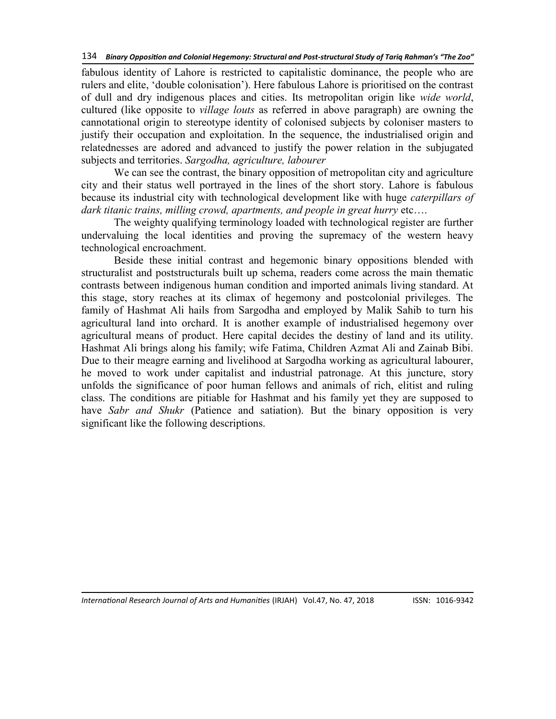fabulous identity of Lahore is restricted to capitalistic dominance, the people who are rulers and elite, 'double colonisation'). Here fabulous Lahore is prioritised on the contrast of dull and dry indigenous places and cities. Its metropolitan origin like *wide world*, cultured (like opposite to *village louts* as referred in above paragraph) are owning the cannotational origin to stereotype identity of colonised subjects by coloniser masters to justify their occupation and exploitation. In the sequence, the industrialised origin and relatednesses are adored and advanced to justify the power relation in the subjugated subjects and territories. *Sargodha, agriculture, labourer*

We can see the contrast, the binary opposition of metropolitan city and agriculture city and their status well portrayed in the lines of the short story. Lahore is fabulous because its industrial city with technological development like with huge *caterpillars of dark titanic trains, milling crowd, apartments, and people in great hurry* etc….

The weighty qualifying terminology loaded with technological register are further undervaluing the local identities and proving the supremacy of the western heavy technological encroachment.

Beside these initial contrast and hegemonic binary oppositions blended with structuralist and poststructurals built up schema, readers come across the main thematic contrasts between indigenous human condition and imported animals living standard. At this stage, story reaches at its climax of hegemony and postcolonial privileges. The family of Hashmat Ali hails from Sargodha and employed by Malik Sahib to turn his agricultural land into orchard. It is another example of industrialised hegemony over agricultural means of product. Here capital decides the destiny of land and its utility. Hashmat Ali brings along his family; wife Fatima, Children Azmat Ali and Zainab Bibi. Due to their meagre earning and livelihood at Sargodha working as agricultural labourer, he moved to work under capitalist and industrial patronage. At this juncture, story unfolds the significance of poor human fellows and animals of rich, elitist and ruling class. The conditions are pitiable for Hashmat and his family yet they are supposed to have *Sabr and Shukr* (Patience and satiation). But the binary opposition is very significant like the following descriptions.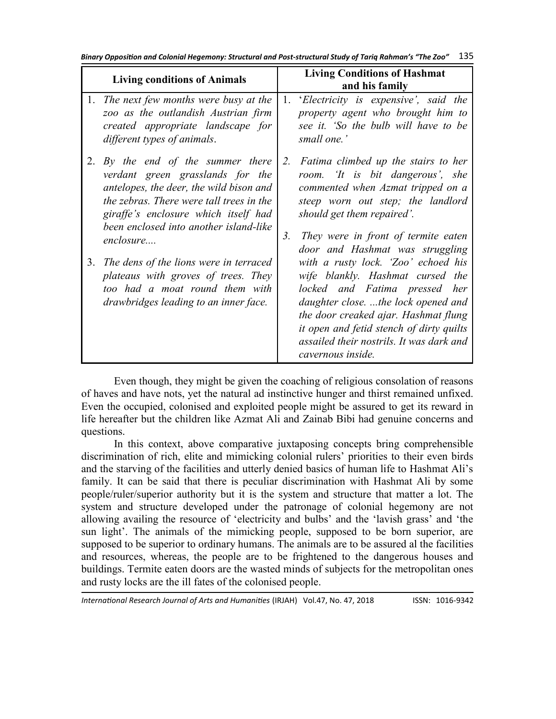*Binary Opposition and Colonial Hegemony: Structural and Post-structural Study of Tariq Rahman's "The Zoo"* 135

| <b>Living conditions of Animals</b> |                                                                                                                                                                                                   | <b>Living Conditions of Hashmat</b> |                                                                                                                                                                                                                                                                                                      |
|-------------------------------------|---------------------------------------------------------------------------------------------------------------------------------------------------------------------------------------------------|-------------------------------------|------------------------------------------------------------------------------------------------------------------------------------------------------------------------------------------------------------------------------------------------------------------------------------------------------|
|                                     | 1. The next few months were busy at the<br>zoo as the outlandish Austrian firm<br>created appropriate landscape for<br>different types of animals.                                                | 1.                                  | and his family<br>'Electricity is expensive', said the<br>property agent who brought him to<br>see it. 'So the bulb will have to be<br>small one.'                                                                                                                                                   |
| 2.                                  | By the end of the summer there<br>verdant green grasslands for the<br>antelopes, the deer, the wild bison and<br>the zebras. There were tall trees in the<br>giraffe's enclosure which itself had | 2.                                  | Fatima climbed up the stairs to her<br>room. To is bit dangerous', she<br>commented when Azmat tripped on a<br>steep worn out step; the landlord<br>should get them repaired'.                                                                                                                       |
|                                     | been enclosed into another island-like<br>enclosure                                                                                                                                               | 3.                                  | They were in front of termite eaten<br>door and Hashmat was struggling                                                                                                                                                                                                                               |
| 3.                                  | The dens of the lions were in terraced<br>plateaus with groves of trees. They<br>too had a moat round them with<br>drawbridges leading to an inner face.                                          |                                     | with a rusty lock. 'Zoo' echoed his<br>wife blankly. Hashmat cursed the<br>locked and Fatima pressed her<br>daughter close. the lock opened and<br>the door creaked ajar. Hashmat flung<br>it open and fetid stench of dirty quilts<br>assailed their nostrils. It was dark and<br>cavernous inside. |

Even though, they might be given the coaching of religious consolation of reasons of haves and have nots, yet the natural ad instinctive hunger and thirst remained unfixed. Even the occupied, colonised and exploited people might be assured to get its reward in life hereafter but the children like Azmat Ali and Zainab Bibi had genuine concerns and questions.

In this context, above comparative juxtaposing concepts bring comprehensible discrimination of rich, elite and mimicking colonial rulers' priorities to their even birds and the starving of the facilities and utterly denied basics of human life to Hashmat Ali's family. It can be said that there is peculiar discrimination with Hashmat Ali by some people/ruler/superior authority but it is the system and structure that matter a lot. The system and structure developed under the patronage of colonial hegemony are not allowing availing the resource of 'electricity and bulbs' and the 'lavish grass' and 'the sun light'. The animals of the mimicking people, supposed to be born superior, are supposed to be superior to ordinary humans. The animals are to be assured al the facilities and resources, whereas, the people are to be frightened to the dangerous houses and buildings. Termite eaten doors are the wasted minds of subjects for the metropolitan ones and rusty locks are the ill fates of the colonised people.